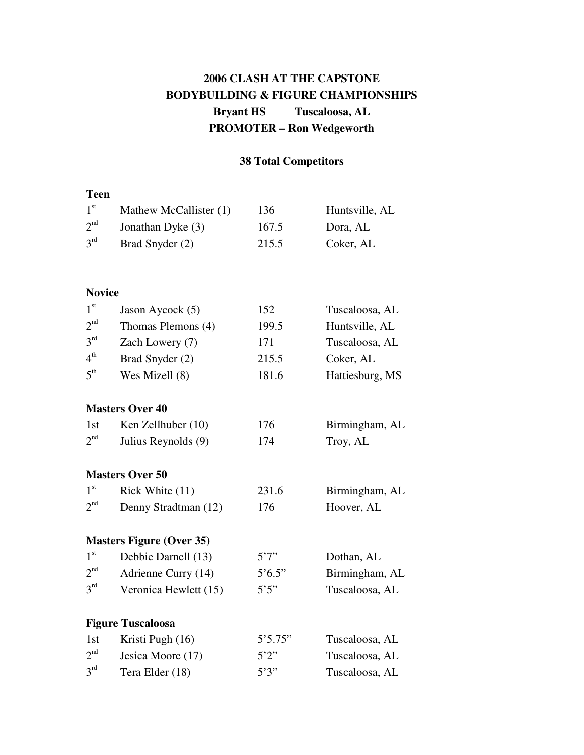## **2006 CLASH AT THE CAPSTONE BODYBUILDING & FIGURE CHAMPIONSHIPS Bryant HS Tuscaloosa, AL PROMOTER – Ron Wedgeworth**

## **38 Total Competitors**

## **Teen**

| 1 <sup>st</sup> | Mathew McCallister (1)          | 136             | Huntsville, AL  |
|-----------------|---------------------------------|-----------------|-----------------|
| 2 <sup>nd</sup> | Jonathan Dyke (3)               | 167.5           | Dora, AL        |
| 3 <sup>rd</sup> | Brad Snyder (2)                 | 215.5           | Coker, AL       |
|                 |                                 |                 |                 |
| <b>Novice</b>   |                                 |                 |                 |
| 1 <sup>st</sup> | Jason Aycock (5)                | 152             | Tuscaloosa, AL  |
| 2 <sup>nd</sup> | Thomas Plemons (4)              | 199.5           | Huntsville, AL  |
| 3 <sup>rd</sup> | Zach Lowery (7)                 | 171             | Tuscaloosa, AL  |
| 4 <sup>th</sup> | Brad Snyder (2)                 | 215.5           | Coker, AL       |
| 5 <sup>th</sup> | Wes Mizell (8)                  | 181.6           | Hattiesburg, MS |
|                 | <b>Masters Over 40</b>          |                 |                 |
| 1st             | Ken Zellhuber (10)              | 176             | Birmingham, AL  |
| 2 <sup>nd</sup> | Julius Reynolds (9)             | 174             | Troy, AL        |
|                 | <b>Masters Over 50</b>          |                 |                 |
| 1 <sup>st</sup> | Rick White (11)                 | 231.6           | Birmingham, AL  |
| 2 <sup>nd</sup> | Denny Stradtman (12)            | 176             | Hoover, AL      |
|                 | <b>Masters Figure (Over 35)</b> |                 |                 |
| 1 <sup>st</sup> | Debbie Darnell (13)             | 5'7''           | Dothan, AL      |
| 2 <sup>nd</sup> | Adrienne Curry (14)             | $5^{\circ}6.5"$ | Birmingham, AL  |
| 3 <sup>rd</sup> | Veronica Hewlett (15)           | 5'5''           | Tuscaloosa, AL  |
|                 | <b>Figure Tuscaloosa</b>        |                 |                 |
| 1st             | Kristi Pugh (16)                | 5'5.75"         | Tuscaloosa, AL  |
| 2 <sup>nd</sup> | Jesica Moore (17)               | 5'2''           | Tuscaloosa, AL  |
| 3 <sup>rd</sup> | Tera Elder (18)                 | 5'3''           | Tuscaloosa, AL  |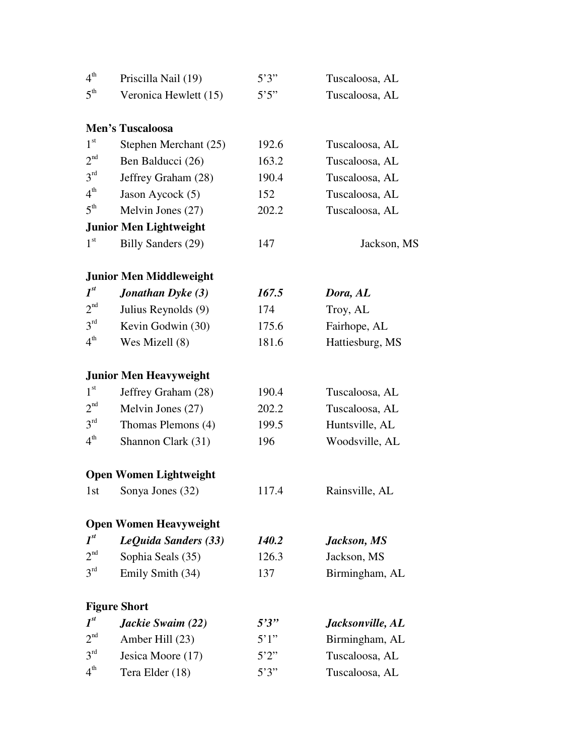| 4 <sup>th</sup> | Priscilla Nail (19)            | 5'3'' | Tuscaloosa, AL   |
|-----------------|--------------------------------|-------|------------------|
| $5^{\text{th}}$ | Veronica Hewlett (15)          | 5'5'' | Tuscaloosa, AL   |
|                 |                                |       |                  |
|                 | <b>Men's Tuscaloosa</b>        |       |                  |
| 1 <sup>st</sup> | Stephen Merchant (25)          | 192.6 | Tuscaloosa, AL   |
| 2 <sup>nd</sup> | Ben Balducci (26)              | 163.2 | Tuscaloosa, AL   |
| 3 <sup>rd</sup> | Jeffrey Graham (28)            | 190.4 | Tuscaloosa, AL   |
| 4 <sup>th</sup> | Jason Aycock (5)               | 152   | Tuscaloosa, AL   |
| $5^{\text{th}}$ | Melvin Jones (27)              | 202.2 | Tuscaloosa, AL   |
|                 | <b>Junior Men Lightweight</b>  |       |                  |
| 1 <sup>st</sup> | <b>Billy Sanders (29)</b>      | 147   | Jackson, MS      |
|                 | <b>Junior Men Middleweight</b> |       |                  |
| $I^{st}$        | Jonathan Dyke (3)              | 167.5 | Dora, AL         |
| 2 <sup>nd</sup> | Julius Reynolds (9)            | 174   | Troy, AL         |
| 3 <sup>rd</sup> | Kevin Godwin (30)              | 175.6 | Fairhope, AL     |
| 4 <sup>th</sup> | Wes Mizell (8)                 | 181.6 | Hattiesburg, MS  |
|                 | <b>Junior Men Heavyweight</b>  |       |                  |
| 1 <sup>st</sup> | Jeffrey Graham (28)            | 190.4 | Tuscaloosa, AL   |
| 2 <sup>nd</sup> | Melvin Jones (27)              | 202.2 | Tuscaloosa, AL   |
| 3 <sup>rd</sup> | Thomas Plemons (4)             | 199.5 | Huntsville, AL   |
| 4 <sup>th</sup> | Shannon Clark (31)             | 196   | Woodsville, AL   |
|                 | <b>Open Women Lightweight</b>  |       |                  |
| 1st             | Sonya Jones (32)               | 117.4 | Rainsville, AL   |
|                 | <b>Open Women Heavyweight</b>  |       |                  |
| $I^{st}$        | LeQuida Sanders (33)           | 140.2 | Jackson, MS      |
| 2 <sup>nd</sup> | Sophia Seals (35)              | 126.3 | Jackson, MS      |
| 3 <sup>rd</sup> | Emily Smith (34)               | 137   | Birmingham, AL   |
|                 | <b>Figure Short</b>            |       |                  |
| $I^{st}$        | Jackie Swaim (22)              | 5'3'' | Jacksonville, AL |
| 2 <sup>nd</sup> | Amber Hill (23)                | 5'1'' | Birmingham, AL   |
| 3 <sup>rd</sup> | Jesica Moore (17)              | 5'2'' | Tuscaloosa, AL   |
| $4^{\text{th}}$ | Tera Elder (18)                | 5'3'' | Tuscaloosa, AL   |